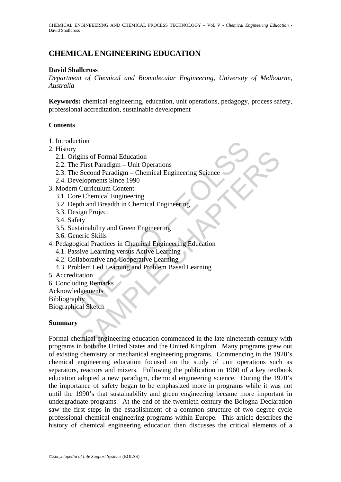CHEMICAL ENGINEEERING AND CHEMICAL PROCESS TECHNOLOGY – Vol. V - *Chemical Engineering Education* - David Shallcross

# **CHEMICAL ENGINEERING EDUCATION**

### **David Shallcross**

*Department of Chemical and Biomolecular Engineering, University of Melbourne, Australia* 

**Keywords:** chemical engineering, education, unit operations, pedagogy, process safety, professional accreditation, sustainable development

#### **Contents**

- 1. Introduction
- 2. History
	- 2.1. Origins of Formal Education
	- 2.2. The First Paradigm Unit Operations
	- 2.3. The Second Paradigm Chemical Engineering Science
	- 2.4. Developments Since 1990
- 3. Modern Curriculum Content
	- 3.1. Core Chemical Engineering
	- 3.2. Depth and Breadth in Chemical Engineering
	- 3.3. Design Project
	- 3.4. Safety
	- 3.5. Sustainability and Green Engineering
	- 3.6. Generic Skills
- The Primarison<br>Trigins of Formal Education<br>The First Paradigm Unit Operations<br>The Second Paradigm Chemical Engineering Science<br>Developments Since 1990<br>Developments Since 1990<br>The Core Chemical Engineering<br>Depth and Bre 4. Pedagogical Practices in Chemical Engineering Education
	- 4.1. Passive Learning versus Active Learning
	- 4.2. Collaborative and Cooperative Learning
	- 4.3. Problem Led Learning and Problem Based Learning
- 5. Accreditation
- 6. Concluding Remarks
- Acknowledgements

**Bibliography** 

Biographical Sketch

#### **Summary**

rins of Formal Education<br>
First Paradigm – Unit Operations<br>
Second Paradigm – Chemical Engineering Science<br>
elopements Since 1999<br>
Curriculum Content<br>
Curriculum Content<br>
Curriculum Content<br>
eric Skills<br>
gin Project<br>
striv Formal chemical engineering education commenced in the late nineteenth century with programs in both the United States and the United Kingdom. Many programs grew out of existing chemistry or mechanical engineering programs. Commencing in the 1920's chemical engineering education focused on the study of unit operations such as separators, reactors and mixers. Following the publication in 1960 of a key textbook education adopted a new paradigm, chemical engineering science. During the 1970's the importance of safety began to be emphasized more in programs while it was not until the 1990's that sustainability and green engineering became more important in undergraduate programs. At the end of the twentieth century the Bologna Declaration saw the first steps in the establishment of a common structure of two degree cycle professional chemical engineering programs within Europe. This article describes the history of chemical engineering education then discusses the critical elements of a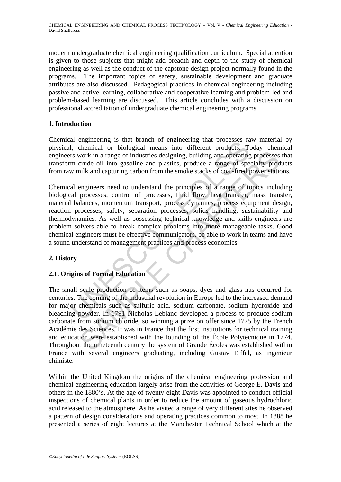modern undergraduate chemical engineering qualification curriculum. Special attention is given to those subjects that might add breadth and depth to the study of chemical engineering as well as the conduct of the capstone design project normally found in the programs. The important topics of safety, sustainable development and graduate attributes are also discussed. Pedagogical practices in chemical engineering including passive and active learning, collaborative and cooperative learning and problem-led and problem-based learning are discussed. This article concludes with a discussion on professional accreditation of undergraduate chemical engineering programs.

## **1. Introduction**

Chemical engineering is that branch of engineering that processes raw material by physical, chemical or biological means into different products. Today chemical engineers work in a range of industries designing, building and operating processes that transform crude oil into gasoline and plastics, produce a range of specialty products from raw milk and capturing carbon from the smoke stacks of coal-fired power stations.

a engineering is una tranchi of eigneteining una processe and<br>al, chemical or biological means into different products. To<br>synchrise in swork in a range of industries designing, building and operating<br>m crude oil into gaso Chemical engineers need to understand the principles of a range of topics including biological processes, control of processes, fluid flow, heat transfer, mass transfer, material balances, momentum transport, process dynamics, process equipment design, reaction processes, safety, separation processes, solids handling, sustainability and thermodynamics. As well as possessing technical knowledge and skills engineers are problem solvers able to break complex problems into more manageable tasks. Good chemical engineers must be effective communicators, be able to work in teams and have a sound understand of management practices and process economics.

## **2. History**

## **2.1. Origins of Formal Education**

work in a range of industries designing, building and operating processes<br>crude oil into gasoline and plastics, produce a range of specially prod<br>error in a range of industries designing, building and operating processes<br>c The small scale production of items such as soaps, dyes and glass has occurred for centuries. The coming of the industrial revolution in Europe led to the increased demand for major chemicals such as sulfuric acid, sodium carbonate, sodium hydroxide and bleaching powder. In 1791 Nicholas Leblanc developed a process to produce sodium carbonate from sodium chloride, so winning a prize on offer since 1775 by the French Académie des Sciences. It was in France that the first institutions for technical training and education were established with the founding of the École Polytecnique in 1774. Throughout the nineteenth century the system of Grande Écoles was established within France with several engineers graduating, including Gustav Eiffel, as ingenieur chimiste.

Within the United Kingdom the origins of the chemical engineering profession and chemical engineering education largely arise from the activities of George E. Davis and others in the 1880's. At the age of twenty-eight Davis was appointed to conduct official inspections of chemical plants in order to reduce the amount of gaseous hydrochloric acid released to the atmosphere. As he visited a range of very different sites he observed a pattern of design considerations and operating practices common to most. In 1888 he presented a series of eight lectures at the Manchester Technical School which at the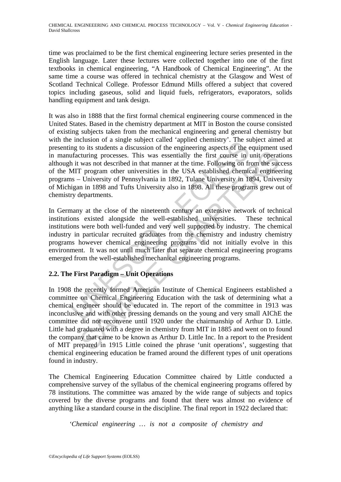time was proclaimed to be the first chemical engineering lecture series presented in the English language. Later these lectures were collected together into one of the first textbooks in chemical engineering, "A Handbook of Chemical Engineering". At the same time a course was offered in technical chemistry at the Glasgow and West of Scotland Technical College. Professor Edmund Mills offered a subject that covered topics including gaseous, solid and liquid fuels, refrigerators, evaporators, solids handling equipment and tank design.

incussion or a singe stupect can<br>early and the single stupect cancer appear and the sing to its students a discussion of the engineering aspects of the effecturing processes. This was essentially the first course in the tu It was also in 1888 that the first formal chemical engineering course commenced in the United States. Based in the chemistry department at MIT in Boston the course consisted of existing subjects taken from the mechanical engineering and general chemistry but with the inclusion of a single subject called 'applied chemistry'. The subject aimed at presenting to its students a discussion of the engineering aspects of the equipment used in manufacturing processes. This was essentially the first course in unit operations although it was not described in that manner at the time. Following on from the success of the MIT program other universities in the USA established chemical engineering programs – University of Pennsylvania in 1892, Tulane University in 1894, University of Michigan in 1898 and Tufts University also in 1898. All these programs grew out of chemistry departments.

In Germany at the close of the nineteenth century an extensive network of technical institutions existed alongside the well-established universities. These technical institutions were both well-funded and very well supported by industry. The chemical industry in particular recruited graduates from the chemistry and industry chemistry programs however chemical engineering programs did not initially evolve in this environment. It was not until much later that separate chemical engineering programs emerged from the well-established mechanical engineering programs.

## **2.2. The First Paradigm – Unit Operations**

cturing processes. This was essentially the first course in unit operative truring processes. This was essentially the first course in unit operat was not described in that manner at the time. Following on from the succe-<br> In 1908 the recently formed American Institute of Chemical Engineers established a committee on Chemical Engineering Education with the task of determining what a chemical engineer should be educated in. The report of the committee in 1913 was inconclusive and with other pressing demands on the young and very small AIChE the committee did not reconvene until 1920 under the chairmanship of Arthur D. Little. Little had graduated with a degree in chemistry from MIT in 1885 and went on to found the company that came to be known as Arthur D. Little Inc. In a report to the President of MIT prepared in 1915 Little coined the phrase 'unit operations', suggesting that chemical engineering education be framed around the different types of unit operations found in industry.

The Chemical Engineering Education Committee chaired by Little conducted a comprehensive survey of the syllabus of the chemical engineering programs offered by 78 institutions. The committee was amazed by the wide range of subjects and topics covered by the diverse programs and found that there was almost no evidence of anything like a standard course in the discipline. The final report in 1922 declared that:

*'Chemical engineering … is not a composite of chemistry and*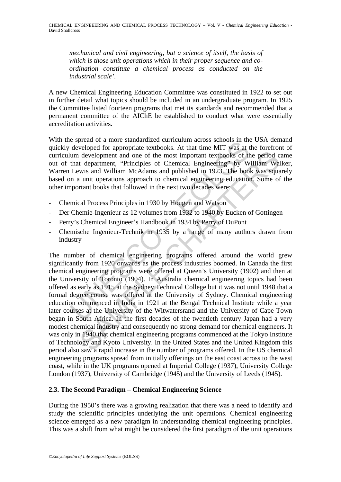*mechanical and civil engineering, but a science of itself, the basis of which is those unit operations which in their proper sequence and coordination constitute a chemical process as conducted on the industrial scale'.* 

A new Chemical Engineering Education Committee was constituted in 1922 to set out in further detail what topics should be included in an undergraduate program. In 1925 the Committee listed fourteen programs that met its standards and recommended that a permanent committee of the AIChE be established to conduct what were essentially accreditation activities.

With the spread of a more standardized curriculum across schools in the USA demand quickly developed for appropriate textbooks. At that time MIT was at the forefront of curriculum development and one of the most important textbooks of the period came out of that department, "Principles of Chemical Engineering" by William Walker, Warren Lewis and William McAdams and published in 1923. The book was squarely based on a unit operations approach to chemical engineering education. Some of the other important books that followed in the next two decades were:

- Chemical Process Principles in 1930 by Hougen and Watson
- Der Chemie-Ingenieur as 12 volumes from 1932 to 1940 by Eucken of Gottingen
- Perry's Chemical Engineer's Handbook in 1934 by Perry of DuPont
- Chemische Ingenieur-Technik in 1935 by a range of many authors drawn from industry

s spinos and a more standardized cuntumin actors schools in the developed for appropriate textbooks. At that time MIT was at tem development and one of the most important textbooks of that department, "Principles of Chemic development and one of the most important textbooks of the period c<br>development and one of the most important textbooks of the period c<br>t department, "Principles of Chemical Engineering" by William Wal<br>wis and William McAd The number of chemical engineering programs offered around the world grew significantly from 1920 onwards as the process industries boomed. In Canada the first chemical engineering programs were offered at Queen's University (1902) and then at the University of Toronto (1904). In Australia chemical engineering topics had been offered as early as 1915 at the Sydney Technical College but it was not until 1948 that a formal degree course was offered at the University of Sydney. Chemical engineering education commenced in India in 1921 at the Bengal Technical Institute while a year later courses at the University of the Witwatersrand and the University of Cape Town began in South Africa. In the first decades of the twentieth century Japan had a very modest chemical industry and consequently no strong demand for chemical engineers. It was only in 1940 that chemical engineering programs commenced at the Tokyo Institute of Technology and Kyoto University. In the United States and the United Kingdom this period also saw a rapid increase in the number of programs offered. In the US chemical engineering programs spread from initially offerings on the east coast across to the west coast, while in the UK programs opened at Imperial College (1937), University College London (1937), University of Cambridge (1945) and the University of Leeds (1945).

### **2.3. The Second Paradigm – Chemical Engineering Science**

During the 1950's there was a growing realization that there was a need to identify and study the scientific principles underlying the unit operations. Chemical engineering science emerged as a new paradigm in understanding chemical engineering principles. This was a shift from what might be considered the first paradigm of the unit operations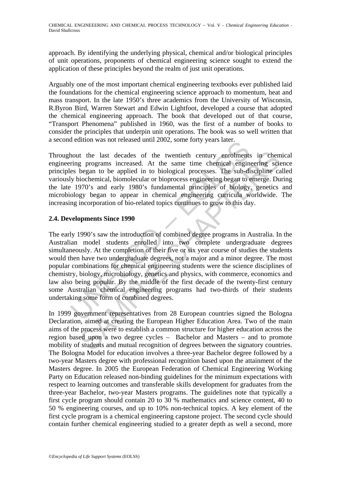approach. By identifying the underlying physical, chemical and/or biological principles of unit operations, proponents of chemical engineering science sought to extend the application of these principles beyond the realm of just unit operations.

Arguably one of the most important chemical engineering textbooks ever published laid the foundations for the chemical engineering science approach to momentum, heat and mass transport. In the late 1950's three academics from the University of Wisconsin, R.Byron Bird, Warren Stewart and Edwin Lightfoot, developed a course that adopted the chemical engineering approach. The book that developed out of that course, "Transport Phenomena" published in 1960, was the first of a number of books to consider the principles that underpin unit operations. The book was so well written that a second edition was not released until 2002, some forty years later.

Throughout the last decades of the twentieth century enrolments in chemical engineering programs increased. At the same time chemical engineering science principles began to be applied in to biological processes. The sub-discipline called variously biochemical, biomolecular or bioprocess engineering began to emerge. During the late 1970's and early 1980's fundamental principles of biology, genetics and microbiology began to appear in chemical engineering curricula worldwide. The increasing incorporation of bio-related topics continues to grow to this day.

### **2.4. Developments Since 1990**

and the last decades of the twentieth century enrolments<br>ting programs increased unit 2002, some forty years adet.<br>ting programs increased. At the same time chemical engines<br>began to be applied in to biological processes. t the last decades of the twentieth century enrolments in cher<br>g programs increased. At the same time chemical engineering science<br>began to be applied in to biological processes. The sub-discripline cc<br>biochemical, biomole The early 1990's saw the introduction of combined degree programs in Australia. In the Australian model students enrolled into two complete undergraduate degrees simultaneously. At the completion of their five or six year course of studies the students would then have two undergraduate degrees, not a major and a minor degree. The most popular combinations for chemical engineering students were the science disciplines of chemistry, biology, microbiology, genetics and physics, with commerce, economics and law also being popular. By the middle of the first decade of the twenty-first century some Australian chemical engineering programs had two-thirds of their students undertaking some form of combined degrees.

In 1999 government representatives from 28 European countries signed the Bologna Declaration, aimed at creating the European Higher Education Area. Two of the main aims of the process were to establish a common structure for higher education across the region based upon a two degree cycles – Bachelor and Masters – and to promote mobility of students and mutual recognition of degrees between the signatory countries. The Bologna Model for education involves a three-year Bachelor degree followed by a two-year Masters degree with professional recognition based upon the attainment of the Masters degree. In 2005 the European Federation of Chemical Engineering Working Party on Education released non-binding guidelines for the minimum expectations with respect to learning outcomes and transferable skills development for graduates from the three-year Bachelor, two-year Masters programs. The guidelines note that typically a first cycle program should contain 20 to 30 % mathematics and science content, 40 to 50 % engineering courses, and up to 10% non-technical topics. A key element of the first cycle program is a chemical engineering capstone project. The second cycle should contain further chemical engineering studied to a greater depth as well a second, more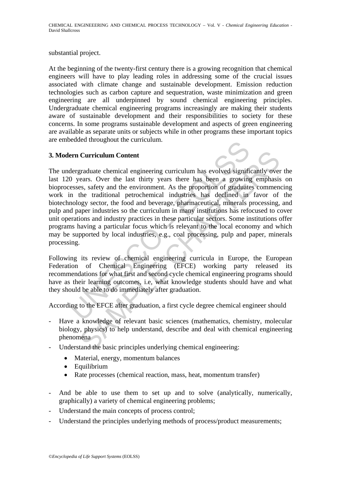CHEMICAL ENGINEEERING AND CHEMICAL PROCESS TECHNOLOGY – Vol. V - *Chemical Engineering Education* - David Shallcross

substantial project.

At the beginning of the twenty-first century there is a growing recognition that chemical engineers will have to play leading roles in addressing some of the crucial issues associated with climate change and sustainable development. Emission reduction technologies such as carbon capture and sequestration, waste minimization and green engineering are all underpinned by sound chemical engineering principles. Undergraduate chemical engineering programs increasingly are making their students aware of sustainable development and their responsibilities to society for these concerns. In some programs sustainable development and aspects of green engineering are available as separate units or subjects while in other programs these important topics are embedded throughout the curriculum.

### **3. Modern Curriculum Content**

For Curriculum Content<br>
elergraduate chemical engineering curriculum has evolved significating<br>
Dyears. Over the last thirty years there has been a growing<br>
essess, safety and the environment. As the proportion of graduate **Curriculum Content**<br>
graduate chemical engineering curriculum has evolved significantly over<br>
erars. Over the last thirty years there has been a growing emphasis<br>
es, safety and the environment. As the proportion of gradu The undergraduate chemical engineering curriculum has evolved significantly over the last 120 years. Over the last thirty years there has been a growing emphasis on bioprocesses, safety and the environment. As the proportion of graduates commencing work in the traditional petrochemical industries has declined in favor of the biotechnology sector, the food and beverage, pharmaceutical, minerals processing, and pulp and paper industries so the curriculum in many institutions has refocused to cover unit operations and industry practices in these particular sectors. Some institutions offer programs having a particular focus which is relevant to the local economy and which may be supported by local industries, e.g., coal processing, pulp and paper, minerals processing.

Following its review of chemical engineering curricula in Europe, the European Federation of Chemical Engineering (EFCE) working party released its recommendations for what first and second cycle chemical engineering programs should have as their learning outcomes, i.e, what knowledge students should have and what they should be able to do immediately after graduation.

According to the EFCE after graduation, a first cycle degree chemical engineer should

- Have a knowledge of relevant basic sciences (mathematics, chemistry, molecular biology, physics) to help understand, describe and deal with chemical engineering phenomena
- Understand the basic principles underlying chemical engineering:
	- Material, energy, momentum balances
	- Equilibrium
	- Rate processes (chemical reaction, mass, heat, momentum transfer)
- And be able to use them to set up and to solve (analytically, numerically, graphically) a variety of chemical engineering problems;
- Understand the main concepts of process control;
- Understand the principles underlying methods of process/product measurements;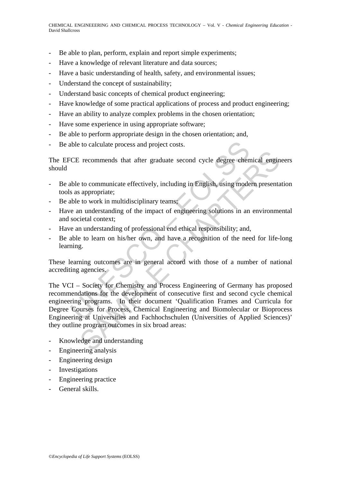- Be able to plan, perform, explain and report simple experiments;
- Have a knowledge of relevant literature and data sources;
- Have a basic understanding of health, safety, and environmental issues;
- Understand the concept of sustainability;
- Understand basic concepts of chemical product engineering;
- Have knowledge of some practical applications of process and product engineering;
- Have an ability to analyze complex problems in the chosen orientation;
- Have some experience in using appropriate software;
- Be able to perform appropriate design in the chosen orientation; and,
- Be able to calculate process and project costs.

The EFCE recommends that after graduate second cycle degree chemical engineers should

- Be able to communicate effectively, including in English, using modern presentation tools as appropriate;
- Be able to work in multidisciplinary teams;
- Have an understanding of the impact of engineering solutions in an environmental and societal context;
- Have an understanding of professional end ethical responsibility; and,
- Be able to learn on his/her own, and have a recognition of the need for life-long learning.

These learning outcomes are in general accord with those of a number of national accrediting agencies.

bile to calculate process and project costs.<br>
CE recommends that after graduate second cycle degree chenches<br>
bile to communicate effectively, including in English, using mode<br>
s as appropriate;<br>
bile to work in multidisci Example that after graduate second cycle degree chemical engine<br>
to communicate effectively, including in English, using modern presenta<br>
appropriate;<br>
to work in multidisciplinary teams;<br>
to work in multidisciplinary team The VCI – Society for Chemistry and Process Engineering of Germany has proposed recommendations for the development of consecutive first and second cycle chemical engineering programs. In their document 'Qualification Frames and Curricula for Degree Courses for Process, Chemical Engineering and Biomolecular or Bioprocess Engineering at Universities and Fachhochschulen (Universities of Applied Sciences)' they outline program outcomes in six broad areas:

- Knowledge and understanding
- Engineering analysis
- Engineering design
- **Investigations**
- Engineering practice
- General skills.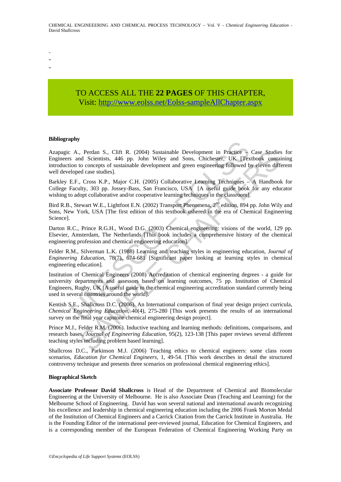- -
- -
- -

# TO ACCESS ALL THE **22 PAGES** OF THIS CHAPTER, Visi[t: http://www.eolss.net/Eolss-sampleAllChapter.aspx](https://www.eolss.net/ebooklib/sc_cart.aspx?File=E6-34-08-00)

#### **Bibliography**

A., Perdan S., Clift R. (2004) Sustainable Development in Practice -<br>
A., Perdan S., Clift R. (2004) Sustainable Development in Practice -<br>
and Scientists, 446 pp. John Wiley and Sons, Chichester, UK [Tex<br>
eloped case stud Azapagic A., Perdan S., Clift R. (2004) Sustainable Development in Practice – Case Studies for Engineers and Scientists, 446 pp. John Wiley and Sons, Chichester, UK [Textbook containing introduction to concepts of sustainable development and green engineering followed by eleven different well developed case studies].

Barkley E.F., Cross K.P., Major C.H. (2005) Collaborative Learning Techniques – A Handbook for College Faculty, 303 pp. Jossey-Bass, San Francisco, USA [A useful guide book for any educator wishing to adopt collaborative and/or cooperative learning techniques in the classroom].

Bird R.B., Stewart W.E., Lightfoot E.N. (2002) Transport Phenomena, 2<sup>nd</sup> edition, 894 pp. John Wily and Sons, New York, USA [The first edition of this textbook ushered in the era of Chemical Engineering Science].

Darton R.C., Prince R.G.H., Wood D.G. (2003) Chemical engineering: visions of the world, 129 pp. Elsevier, Amsterdam, The Netherlands [This book includes a comprehensive history of the chemical engineering profession and chemical engineering education].

Felder R.M., Silverman L.K. (1988) Learning and teaching styles in engineering education, *Journal of Engineering Education*, 78(7), 674-681 [Significant paper looking at learning styles in chemical engineering education].

, Perdan S., Clift R. (2004) Sustianiable Development in Practice - Case Sudicional<br>
and Scientists, 446 pp. John Wiley and Sons, Chichester, UK. [Texthook conta<br>
to concepts of sustainable development and green engineeri Institution of Chemical Engineers (2008) Accreditation of chemical engineering degrees - a guide for university departments and assessors based on learning outcomes, 75 pp. Institution of Chemical Engineers, Rugby, UK [A useful guide to the chemical engineering accreditation standard currently being used in several countries around the world].

Kentish S.E., Shallcross D.C. (2006). An International comparison of final year design project curricula, *Chemical Engineering Education*, 40(4), 275-280 [This work presents the results of an international survey on the final year capstone chemical engineering design project].

Prince M.J., Felder R.M. (2006). Inductive teaching and learning methods: definitions, comparisons, and research bases, *Journal of Engineering Education*, 95(2), 123-138 [This paper reviews several different teaching styles including problem based learning].

Shallcross D.C., Parkinson M.J. (2006) Teaching ethics to chemical engineers: some class room scenarios, *Education for Chemical Engineers*, 1, 49-54. [This work describes in detail the structured controversy technique and presents three scenarios on professional chemical engineering ethics].

#### **Biographical Sketch**

**Associate Professor David Shallcross** is Head of the Department of Chemical and Biomolecular Engineering at the University of Melbourne. He is also Associate Dean (Teaching and Learning) for the Melbourne School of Engineering. David has won several national and international awards recognizing his excellence and leadership in chemical engineering education including the 2006 Frank Morton Medal of the Institution of Chemical Engineers and a Carrick Citation from the Carrick Institute in Australia. He is the Founding Editor of the international peer-reviewed journal, Education for Chemical Engineers, and is a corresponding member of the European Federation of Chemical Engineering Working Party on